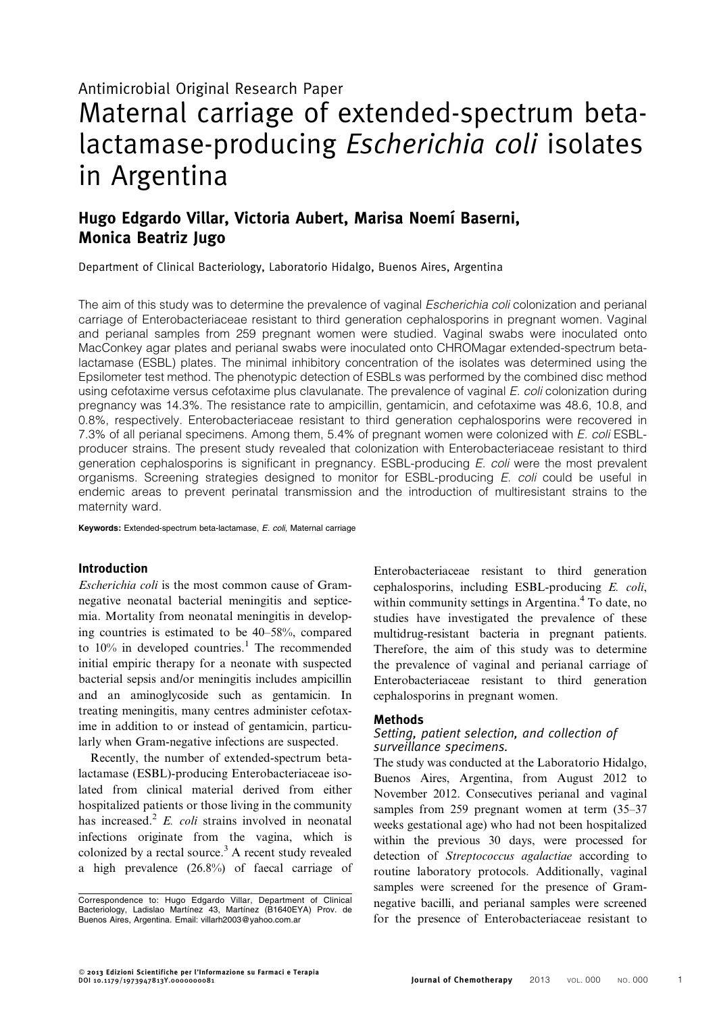# Antimicrobial Original Research Paper Maternal carriage of extended-spectrum betalactamase-producing Escherichia coli isolates in Argentina

# Hugo Edgardo Villar, Victoria Aubert, Marisa Noemí Baserni, Monica Beatriz Jugo

Department of Clinical Bacteriology, Laboratorio Hidalgo, Buenos Aires, Argentina

The aim of this study was to determine the prevalence of vaginal *Escherichia coli* colonization and perianal carriage of Enterobacteriaceae resistant to third generation cephalosporins in pregnant women. Vaginal and perianal samples from 259 pregnant women were studied. Vaginal swabs were inoculated onto MacConkey agar plates and perianal swabs were inoculated onto CHROMagar extended-spectrum betalactamase (ESBL) plates. The minimal inhibitory concentration of the isolates was determined using the Epsilometer test method. The phenotypic detection of ESBLs was performed by the combined disc method using cefotaxime versus cefotaxime plus clavulanate. The prevalence of vaginal E. coli colonization during pregnancy was 14.3%. The resistance rate to ampicillin, gentamicin, and cefotaxime was 48.6, 10.8, and 0.8%, respectively. Enterobacteriaceae resistant to third generation cephalosporins were recovered in 7.3% of all perianal specimens. Among them, 5.4% of pregnant women were colonized with E. coli ESBLproducer strains. The present study revealed that colonization with Enterobacteriaceae resistant to third generation cephalosporins is significant in pregnancy. ESBL-producing E. coli were the most prevalent organisms. Screening strategies designed to monitor for ESBL-producing E. coli could be useful in endemic areas to prevent perinatal transmission and the introduction of multiresistant strains to the maternity ward.

Keywords: Extended-spectrum beta-lactamase, E. coli, Maternal carriage

# Introduction

Escherichia coli is the most common cause of Gramnegative neonatal bacterial meningitis and septicemia. Mortality from neonatal meningitis in developing countries is estimated to be 40–58%, compared to  $10\%$  in developed countries.<sup>1</sup> The recommended initial empiric therapy for a neonate with suspected bacterial sepsis and/or meningitis includes ampicillin and an aminoglycoside such as gentamicin. In treating meningitis, many centres administer cefotaxime in addition to or instead of gentamicin, particularly when Gram-negative infections are suspected.

Recently, the number of extended-spectrum betalactamase (ESBL)-producing Enterobacteriaceae isolated from clinical material derived from either hospitalized patients or those living in the community has increased.<sup>2</sup> E. *coli* strains involved in neonatal infections originate from the vagina, which is colonized by a rectal source. $3$  A recent study revealed a high prevalence (26.8%) of faecal carriage of Enterobacteriaceae resistant to third generation cephalosporins, including ESBL-producing E. coli, within community settings in Argentina.<sup>4</sup> To date, no studies have investigated the prevalence of these multidrug-resistant bacteria in pregnant patients. Therefore, the aim of this study was to determine the prevalence of vaginal and perianal carriage of Enterobacteriaceae resistant to third generation cephalosporins in pregnant women.

#### Methods

# Setting, patient selection, and collection of surveillance specimens.

The study was conducted at the Laboratorio Hidalgo, Buenos Aires, Argentina, from August 2012 to November 2012. Consecutives perianal and vaginal samples from 259 pregnant women at term (35–37 weeks gestational age) who had not been hospitalized within the previous 30 days, were processed for detection of Streptococcus agalactiae according to routine laboratory protocols. Additionally, vaginal samples were screened for the presence of Gramnegative bacilli, and perianal samples were screened for the presence of Enterobacteriaceae resistant to

Correspondence to: Hugo Edgardo Villar, Department of Clinical<br>Bacteriology, Ladislao Martínez 43, Martínez (B1640EYA) Prov. de Buenos Aires, Argentina. Email: villarh2003@yahoo.com.ar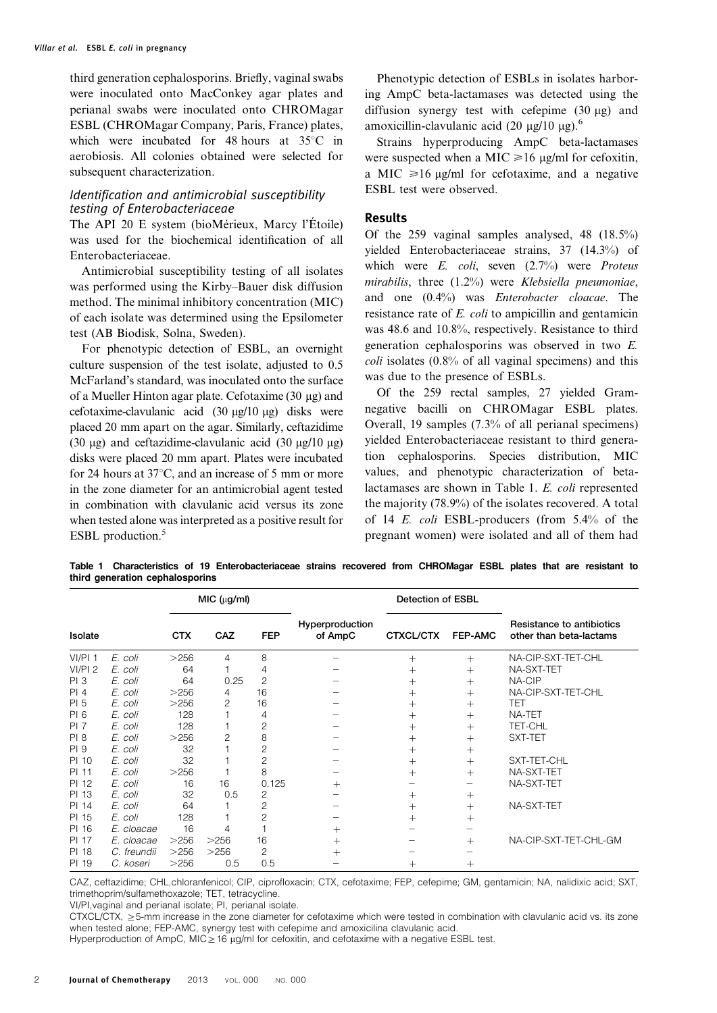third generation cephalosporins. Briefly, vaginal swabs were inoculated onto MacConkey agar plates and perianal swabs were inoculated onto CHROMagar ESBL (CHROMagar Company, Paris, France) plates, which were incubated for 48 hours at  $35^{\circ}$ C in aerobiosis. All colonies obtained were selected for subsequent characterization.

# Identification and antimicrobial susceptibility testing of Enterobacteriaceae

The API 20 E system (bioMérieux, Marcy l'Étoile) was used for the biochemical identification of all Enterobacteriaceae.

Antimicrobial susceptibility testing of all isolates was performed using the Kirby–Bauer disk diffusion method. The minimal inhibitory concentration (MIC) of each isolate was determined using the Epsilometer test (AB Biodisk, Solna, Sweden).

For phenotypic detection of ESBL, an overnight culture suspension of the test isolate, adjusted to 0.5 McFarland's standard, was inoculated onto the surface of a Mueller Hinton agar plate. Cefotaxime  $(30 \mu g)$  and cefotaxime-clavulanic acid (30 mg/10 mg) disks were placed 20 mm apart on the agar. Similarly, ceftazidime (30  $\mu$ g) and ceftazidime-clavulanic acid (30  $\mu$ g/10  $\mu$ g) disks were placed 20 mm apart. Plates were incubated for 24 hours at  $37^{\circ}$ C, and an increase of 5 mm or more in the zone diameter for an antimicrobial agent tested in combination with clavulanic acid versus its zone when tested alone was interpreted as a positive result for ESBL production.<sup>5</sup>

Phenotypic detection of ESBLs in isolates harboring AmpC beta-lactamases was detected using the diffusion synergy test with cefepime  $(30 \mu g)$  and amoxicillin-clavulanic acid (20  $\mu$ g/10  $\mu$ g).<sup>6</sup>

Strains hyperproducing AmpC beta-lactamases were suspected when a MIC  $\geq 16$  µg/ml for cefoxitin, a MIC  $\geq 16$  µg/ml for cefotaxime, and a negative ESBL test were observed.

### Results

Of the 259 vaginal samples analysed, 48 (18.5%) yielded Enterobacteriaceae strains, 37 (14.3%) of which were  $E$ . coli, seven  $(2.7\%)$  were *Proteus* mirabilis, three (1.2%) were Klebsiella pneumoniae, and one (0.4%) was Enterobacter cloacae. The resistance rate of E. coli to ampicillin and gentamicin was 48.6 and 10.8%, respectively. Resistance to third generation cephalosporins was observed in two E. coli isolates (0.8% of all vaginal specimens) and this was due to the presence of ESBLs.

Of the 259 rectal samples, 27 yielded Gramnegative bacilli on CHROMagar ESBL plates. Overall, 19 samples (7.3% of all perianal specimens) yielded Enterobacteriaceae resistant to third generation cephalosporins. Species distribution, MIC values, and phenotypic characterization of betalactamases are shown in Table 1. E. coli represented the majority (78.9%) of the isolates recovered. A total of 14 E. coli ESBL-producers (from 5.4% of the pregnant women) were isolated and all of them had

|                                 | Table 1 Characteristics of 19 Enterobacteriaceae strains recovered from CHROMagar ESBL plates that are resistant to |  |  |  |  |  |
|---------------------------------|---------------------------------------------------------------------------------------------------------------------|--|--|--|--|--|
| third generation cephalosporins |                                                                                                                     |  |  |  |  |  |

|                    |             | MIC (µq/ml) |            |                |                            | Detection of ESBL  |         |                                                      |  |  |
|--------------------|-------------|-------------|------------|----------------|----------------------------|--------------------|---------|------------------------------------------------------|--|--|
| Isolate            |             | <b>CTX</b>  | <b>CAZ</b> | <b>FEP</b>     | Hyperproduction<br>of AmpC | <b>CTXCL/CTX</b>   | FEP-AMC | Resistance to antibiotics<br>other than beta-lactams |  |  |
| VI/PI 1            | E. coli     | >256        | 4          | 8              |                            | $^{+}$             | $^{+}$  | NA-CIP-SXT-TET-CHL                                   |  |  |
| VI/PI <sub>2</sub> | E. coli     | 64          |            | 4              |                            | $^+$               | $^+$    | NA-SXT-TET                                           |  |  |
| PI3                | E. coli     | 64          | 0.25       | $\overline{c}$ |                            | $^+$               | $^+$    | NA-CIP                                               |  |  |
| PI 4               | E. coli     | >256        | 4          | 16             |                            | $\hspace{0.1mm} +$ | $^+$    | NA-CIP-SXT-TET-CHL                                   |  |  |
| PI 5               | E. coli     | >256        | 2          | 16             |                            | $^+$               | $^+$    | <b>TET</b>                                           |  |  |
| PI 6               | E. coli     | 128         |            | 4              |                            | $^+$               | $^+$    | NA-TET                                               |  |  |
| PI <sub>7</sub>    | E. coli     | 128         |            | 2              |                            | $+$                | $^+$    | <b>TET-CHL</b>                                       |  |  |
| PI <sub>8</sub>    | E. coli     | >256        | 2          | 8              |                            | $^+$               | $^+$    | SXT-TET                                              |  |  |
| <b>PI</b> 9        | E. coli     | 32          |            | 2              |                            | $^+$               | $^+$    |                                                      |  |  |
| PI 10              | E. coli     | 32          |            | 2              |                            | $^{+}$             | $^{+}$  | SXT-TET-CHL                                          |  |  |
| PI 11              | E. coli     | >256        |            | 8              |                            | $^{+}$             | $^+$    | NA-SXT-TET                                           |  |  |
| PI 12              | E. coli     | 16          | 16         | 0.125          | $+$                        |                    |         | NA-SXT-TET                                           |  |  |
| PI 13              | E. coli     | 32          | 0.5        | 2              |                            | $^{+}$             | $^{+}$  |                                                      |  |  |
| PI 14              | E. coli     | 64          |            | 2              |                            | $^{+}$             | $^{+}$  | NA-SXT-TET                                           |  |  |
| PI 15              | E. coli     | 128         |            | 2              |                            | $^{+}$             | $^+$    |                                                      |  |  |
| PI 16              | E. cloacae  | 16          | 4          |                | $+$                        |                    |         |                                                      |  |  |
| <b>PI 17</b>       | E. cloacae  | >256        | >256       | 16             | $^+$                       |                    | $^{+}$  | NA-CIP-SXT-TET-CHL-GM                                |  |  |
| PI 18              | C. freundii | >256        | >256       | 2              | $\hspace{0.1mm} +$         |                    |         |                                                      |  |  |
| PI 19              | C. koseri   | >256        | 0.5        | 0.5            |                            | $^+$               | $^{+}$  |                                                      |  |  |

CAZ, ceftazidime; CHL,chloranfenicol; CIP, ciprofloxacin; CTX, cefotaxime; FEP, cefepime; GM, gentamicin; NA, nalidixic acid; SXT, trimethoprim/sulfamethoxazole; TET, tetracycline.

VI/PI,vaginal and perianal isolate; PI, perianal isolate.

CTXCL/CTX,  $\geq$ 5-mm increase in the zone diameter for cefotaxime which were tested in combination with clavulanic acid vs. its zone when tested alone; FEP-AMC, synergy test with cefepime and amoxicilina clavulanic acid.

Hyperproduction of AmpC, MIC $\geq$  16  $\mu$ g/ml for cefoxitin, and cefotaxime with a negative ESBL test.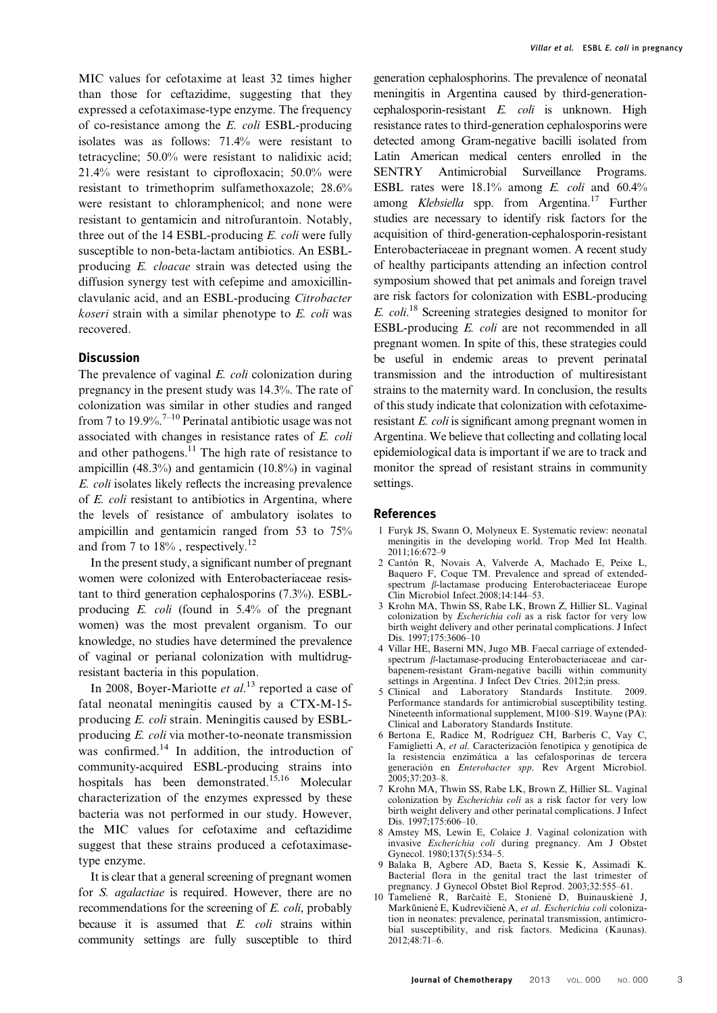MIC values for cefotaxime at least 32 times higher than those for ceftazidime, suggesting that they expressed a cefotaximase-type enzyme. The frequency of co-resistance among the E. coli ESBL-producing isolates was as follows: 71.4% were resistant to tetracycline; 50.0% were resistant to nalidixic acid; 21.4% were resistant to ciprofloxacin; 50.0% were resistant to trimethoprim sulfamethoxazole; 28.6% were resistant to chloramphenicol; and none were resistant to gentamicin and nitrofurantoin. Notably, three out of the  $14$  ESBL-producing E. coli were fully susceptible to non-beta-lactam antibiotics. An ESBLproducing E. cloacae strain was detected using the diffusion synergy test with cefepime and amoxicillinclavulanic acid, and an ESBL-producing Citrobacter koseri strain with a similar phenotype to E. coli was recovered.

### **Discussion**

The prevalence of vaginal E. coli colonization during pregnancy in the present study was 14.3%. The rate of colonization was similar in other studies and ranged from 7 to 19.9%.<sup>7–10</sup> Perinatal antibiotic usage was not associated with changes in resistance rates of E. coli and other pathogens. $^{11}$  The high rate of resistance to ampicillin (48.3%) and gentamicin (10.8%) in vaginal E. coli isolates likely reflects the increasing prevalence of E. coli resistant to antibiotics in Argentina, where the levels of resistance of ambulatory isolates to ampicillin and gentamicin ranged from 53 to 75% and from 7 to 18%, respectively.<sup>12</sup>

In the present study, a significant number of pregnant women were colonized with Enterobacteriaceae resistant to third generation cephalosporins (7.3%). ESBLproducing E. coli (found in 5.4% of the pregnant women) was the most prevalent organism. To our knowledge, no studies have determined the prevalence of vaginal or perianal colonization with multidrugresistant bacteria in this population.

In 2008, Boyer-Mariotte et al.<sup>13</sup> reported a case of fatal neonatal meningitis caused by a CTX-M-15 producing E. coli strain. Meningitis caused by ESBLproducing E. coli via mother-to-neonate transmission was confirmed.<sup>14</sup> In addition, the introduction of community-acquired ESBL-producing strains into hospitals has been demonstrated.<sup>15,16</sup> Molecular characterization of the enzymes expressed by these bacteria was not performed in our study. However, the MIC values for cefotaxime and ceftazidime suggest that these strains produced a cefotaximasetype enzyme.

It is clear that a general screening of pregnant women for S. agalactiae is required. However, there are no recommendations for the screening of E. coli, probably because it is assumed that E. coli strains within community settings are fully susceptible to third generation cephalosphorins. The prevalence of neonatal meningitis in Argentina caused by third-generationcephalosporin-resistant E. coli is unknown. High resistance rates to third-generation cephalosporins were detected among Gram-negative bacilli isolated from Latin American medical centers enrolled in the SENTRY Antimicrobial Surveillance Programs. ESBL rates were 18.1% among E. coli and 60.4% among Klebsiella spp. from Argentina.<sup>17</sup> Further studies are necessary to identify risk factors for the acquisition of third-generation-cephalosporin-resistant Enterobacteriaceae in pregnant women. A recent study of healthy participants attending an infection control symposium showed that pet animals and foreign travel are risk factors for colonization with ESBL-producing E. coli. <sup>18</sup> Screening strategies designed to monitor for ESBL-producing E. coli are not recommended in all pregnant women. In spite of this, these strategies could be useful in endemic areas to prevent perinatal transmission and the introduction of multiresistant strains to the maternity ward. In conclusion, the results of this study indicate that colonization with cefotaximeresistant E. coli is significant among pregnant women in Argentina. We believe that collecting and collating local epidemiological data is important if we are to track and monitor the spread of resistant strains in community settings.

#### References

- 1 Furyk JS, Swann O, Molyneux E. Systematic review: neonatal meningitis in the developing world. Trop Med Int Health. 2011;16:672–9
- 2 Cantón R, Novais A, Valverde A, Machado E, Peixe L, Baquero F, Coque TM. Prevalence and spread of extendedspectrum  $\beta$ -lactamase producing Enterobacteriaceae Europe  $C$ lin Microbiol Infect.  $2008:14:144-53$ .
- 3 Krohn MA, Thwin SS, Rabe LK, Brown Z, Hillier SL. Vaginal colonization by Escherichia coli as a risk factor for very low birth weight delivery and other perinatal complications. J Infect Dis. 1997;175:3606–10
- 4 Villar HE, Baserni MN, Jugo MB. Faecal carriage of extendedspectrum  $\beta$ -lactamase-producing Enterobacteriaceae and carbapenem-resistant Gram-negative bacilli within community settings in Argentina. J Infect Dev Ctries. 2012;in press.
- 5 Clinical and Laboratory Standards Institute. 2009. Performance standards for antimicrobial susceptibility testing. Nineteenth informational supplement, M100–S19. Wayne (PA): Clinical and Laboratory Standards Institute.
- 6 Bertona E, Radice M, Rodríguez CH, Barberis C, Vay C, Famiglietti A, et al. Caracterización fenotípica y genotípica de la resistencia enzimática a las cefalosporinas de tercera generación en Enterobacter spp. Rev Argent Microbiol. 2005;37:203–8.
- 7 Krohn MA, Thwin SS, Rabe LK, Brown Z, Hillier SL. Vaginal colonization by Escherichia coli as a risk factor for very low birth weight delivery and other perinatal complications. J Infect Dis. 1997;175:606–10.
- 8 Amstey MS, Lewin E, Colaice J. Vaginal colonization with invasive Escherichia coli during pregnancy. Am J Obstet Gynecol. 1980;137(5):534–5.
- 9 Balaka B, Agbere AD, Baeta S, Kessie K, Assimadi K. Bacterial flora in the genital tract the last trimester of pregnancy. J Gynecol Obstet Biol Reprod. 2003;32:555–61.
- 10 Tameliene R, Barčaite E, Stoniene D, Buinauskiene J, Markūniene E, Kudrevičienė A, et al. Escherichia coli colonization in neonates: prevalence, perinatal transmission, antimicrobial susceptibility, and risk factors. Medicina (Kaunas). 2012;48:71–6.